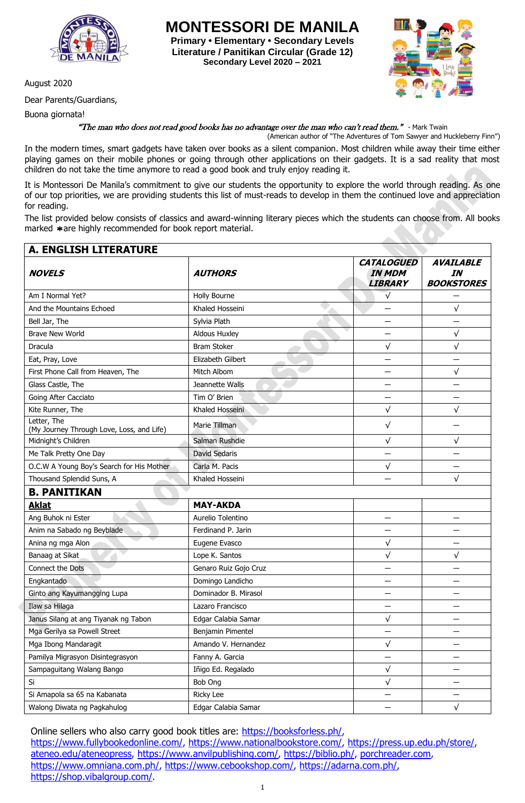

**A. ENGLISH LITERATURE**

August 2020

Dear Parents/Guardians,

Buona giornata!

**MONTESSORI DE MANILA**

**Primary • Elementary • Secondary Levels Literature / Panitikan Circular (Grade 12) Secondary Level 2020 – 2021**



"The man who does not read good books has no advantage over the man who can't read them." - Mark Twain

(American author of "The Adventures of Tom Sawyer and Huckleberry Finn")

In the modern times, smart gadgets have taken over books as a silent companion. Most children while away their time either playing games on their mobile phones or going through other applications on their gadgets. It is a sad reality that most children do not take the time anymore to read a good book and truly enjoy reading it.

It is Montessori De Manila's commitment to give our students the opportunity to explore the world through reading. As one of our top priorities, we are providing students this list of must-reads to develop in them the continued love and appreciation for reading.

The list provided below consists of classics and award-winning literary pieces which the students can choose from. All books marked \*are highly recommended for book report material.

| A. ENGLISH LITERATURE                                    |                       |                                                      |                                             |
|----------------------------------------------------------|-----------------------|------------------------------------------------------|---------------------------------------------|
| <b>NOVELS</b>                                            | <b>AUTHORS</b>        | <b>CATALOGUED</b><br><b>IN MDM</b><br><b>LIBRARY</b> | <b>AVAILABLE</b><br>IN<br><b>BOOKSTORES</b> |
| Am I Normal Yet?                                         | Holly Bourne          | $\checkmark$                                         |                                             |
| And the Mountains Echoed                                 | Khaled Hosseini       |                                                      | $\sqrt{}$                                   |
| Bell Jar, The                                            | Sylvia Plath          |                                                      |                                             |
| <b>Brave New World</b>                                   | Aldous Huxley         |                                                      | $\sqrt{}$                                   |
| Dracula                                                  | <b>Bram Stoker</b>    | $\sqrt{}$                                            | $\sqrt{}$                                   |
| Eat, Pray, Love                                          | Elizabeth Gilbert     |                                                      |                                             |
| First Phone Call from Heaven, The                        | Mitch Albom           | -                                                    | $\sqrt{}$                                   |
| Glass Castle, The                                        | Jeannette Walls       |                                                      |                                             |
| Going After Cacciato                                     | Tim O' Brien          |                                                      |                                             |
| Kite Runner, The                                         | Khaled Hosseini       | $\sqrt{}$                                            | $\sqrt{}$                                   |
| Letter, The<br>(My Journey Through Love, Loss, and Life) | Marie Tillman         | $\sqrt{}$                                            |                                             |
| Midnight's Children                                      | Salman Rushdie        | √                                                    | √                                           |
| Me Talk Pretty One Day                                   | David Sedaris         |                                                      |                                             |
| O.C.W A Young Boy's Search for His Mother                | Carla M. Pacis        | $\sqrt{}$                                            |                                             |
| Thousand Splendid Suns, A                                | Khaled Hosseini       |                                                      | $\sqrt{ }$                                  |
| <b>B. PANITIKAN</b>                                      |                       |                                                      |                                             |
| <b>Aklat</b>                                             | <b>MAY-AKDA</b>       |                                                      |                                             |
| Ang Buhok ni Ester                                       | Aurelio Tolentino     |                                                      |                                             |
| Anim na Sabado ng Beyblade                               | Ferdinand P. Jarin    |                                                      |                                             |
| Anina ng mga Alon                                        | Eugene Evasco         | $\sqrt{}$                                            |                                             |
| Banaag at Sikat                                          | Lope K. Santos        | $\sqrt{}$                                            | $\sqrt{}$                                   |
| Connect the Dots                                         | Genaro Ruiz Gojo Cruz | —                                                    |                                             |
| Engkantado                                               | Domingo Landicho      |                                                      |                                             |
| Ginto ang Kayumangging Lupa                              | Dominador B. Mirasol  |                                                      |                                             |
| Ilaw sa Hilaga                                           | Lazaro Francisco      |                                                      |                                             |
| Janus Silang at ang Tiyanak ng Tabon                     | Edgar Calabia Samar   | $\checkmark$                                         |                                             |
| Mga Gerilya sa Powell Street                             | Benjamin Pimentel     |                                                      |                                             |
| Mga Ibong Mandaragit                                     | Amando V. Hernandez   | $\sqrt{}$                                            |                                             |
| Pamilya Migrasyon Disintegrasyon                         | Fanny A. Garcia       | —                                                    |                                             |
| Sampaguitang Walang Bango                                | Iñigo Ed. Regalado    | $\sqrt{}$                                            |                                             |
| Si                                                       | Bob Ong               | $\sqrt{}$                                            |                                             |
| Si Amapola sa 65 na Kabanata                             | <b>Ricky Lee</b>      |                                                      |                                             |
| Walong Diwata ng Pagkahulog                              | Edgar Calabia Samar   |                                                      | $\sqrt{}$                                   |

Online sellers who also carry good book titles are: [https://booksforless.ph/,](https://booksforless.ph/) [https://www.fullybookedonline.com/,](https://www.fullybookedonline.com/) [https://www.nationalbookstore.com/,](https://www.nationalbookstore.com/) [https://press.up.edu.ph/store/,](https://press.up.edu.ph/store/) [ateneo.edu/ateneopress,](http://ateneo.edu/ateneopress) [https://www.anvilpublishing.com/,](https://www.anvilpublishing.com/) [https://biblio.ph/,](https://biblio.ph/) [porchreader.com,](http://porchreader.com/) [https://www.omniana.com.ph/,](https://www.omniana.com.ph/) [https://www.cebookshop.com/,](https://www.cebookshop.com/) [https://adarna.com.ph/,](https://adarna.com.ph/) [https://shop.vibalgroup.com/.](https://shop.vibalgroup.com/)